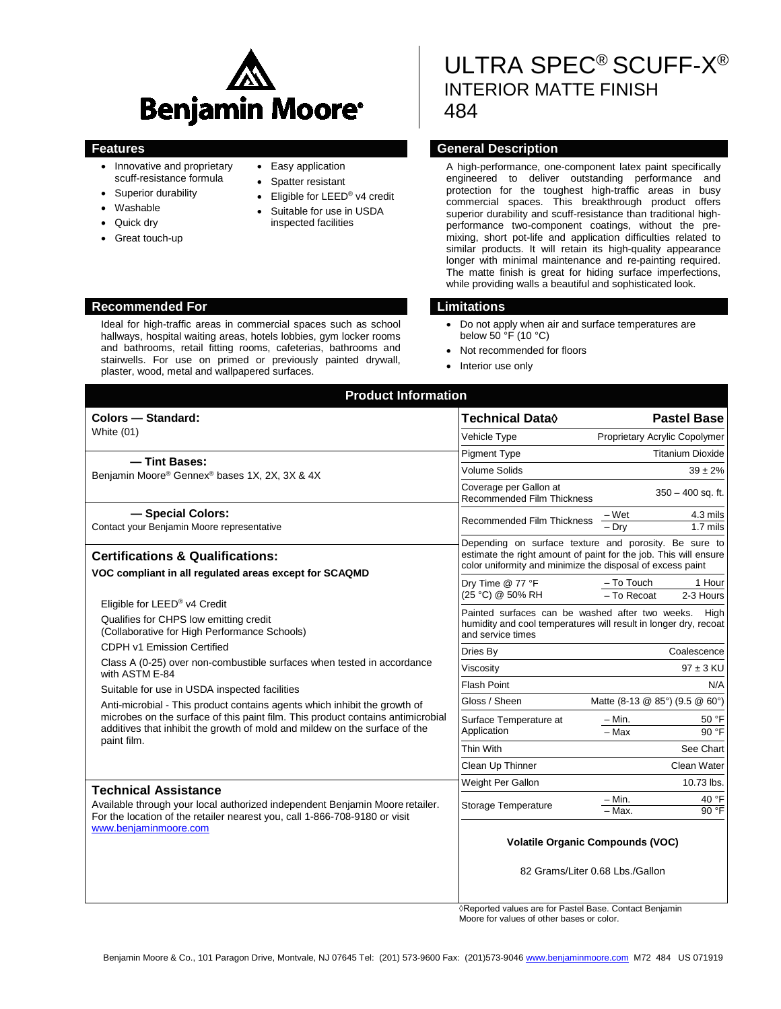

- Innovative and proprietary scuff-resistance formula
- Superior durability
- Washable
- Quick drv
- Great touch-up
- Easy application
- Spatter resistant
- Eligible for LEED<sup>®</sup> v4 credit
- Suitable for use in USDA inspected facilities

# ULTRA SPEC® SCUFF-X® INTERIOR MATTE FINISH 484

## **Features General Description**

A high-performance, one-component latex paint specifically engineered to deliver outstanding performance and protection for the toughest high-traffic areas in busy commercial spaces. This breakthrough product offers superior durability and scuff-resistance than traditional highperformance two-component coatings, without the premixing, short pot-life and application difficulties related to similar products. It will retain its high-quality appearance longer with minimal maintenance and re-painting required. The matte finish is great for hiding surface imperfections, while providing walls a beautiful and sophisticated look.

- Do not apply when air and surface temperatures are below 50 °F (10 °C)
- Not recommended for floors
- Interior use only

| <b>Product Information</b>                                                                                                                                                                                         |                                                                                                                                                                                         |  |
|--------------------------------------------------------------------------------------------------------------------------------------------------------------------------------------------------------------------|-----------------------------------------------------------------------------------------------------------------------------------------------------------------------------------------|--|
| Colors - Standard:<br>White (01)                                                                                                                                                                                   | <b>Pastel Base</b><br>Technical Data◊                                                                                                                                                   |  |
|                                                                                                                                                                                                                    | Proprietary Acrylic Copolymer<br>Vehicle Type                                                                                                                                           |  |
| - Tint Bases:                                                                                                                                                                                                      | <b>Titanium Dioxide</b><br><b>Pigment Type</b>                                                                                                                                          |  |
| Benjamin Moore® Gennex® bases 1X, 2X, 3X & 4X                                                                                                                                                                      | <b>Volume Solids</b><br>$39 \pm 2\%$                                                                                                                                                    |  |
|                                                                                                                                                                                                                    | Coverage per Gallon at<br>$350 - 400$ sq. ft.<br>Recommended Film Thickness                                                                                                             |  |
| - Special Colors:<br>Contact your Benjamin Moore representative                                                                                                                                                    | 4.3 mils<br>– Wet<br>Recommended Film Thickness<br>$-\overline{Drv}$<br>$1.7$ mils                                                                                                      |  |
| <b>Certifications &amp; Qualifications:</b><br>VOC compliant in all regulated areas except for SCAQMD                                                                                                              | Depending on surface texture and porosity. Be sure to<br>estimate the right amount of paint for the job. This will ensure<br>color uniformity and minimize the disposal of excess paint |  |
|                                                                                                                                                                                                                    | Dry Time @ 77 °F<br>- To Touch<br>1 Hour<br>(25 °C) @ 50% RH<br>$-$ To Recoat<br>2-3 Hours                                                                                              |  |
| Eligible for LEED® v4 Credit<br>Qualifies for CHPS low emitting credit<br>(Collaborative for High Performance Schools)                                                                                             | Painted surfaces can be washed after two weeks.<br>Hiah<br>humidity and cool temperatures will result in longer dry, recoat<br>and service times                                        |  |
| CDPH v1 Emission Certified                                                                                                                                                                                         | Coalescence<br>Dries By                                                                                                                                                                 |  |
| Class A (0-25) over non-combustible surfaces when tested in accordance<br>with ASTM E-84<br>Suitable for use in USDA inspected facilities                                                                          | $97 \pm 3$ KU<br>Viscosity                                                                                                                                                              |  |
|                                                                                                                                                                                                                    | <b>Flash Point</b><br>N/A                                                                                                                                                               |  |
| Anti-microbial - This product contains agents which inhibit the growth of                                                                                                                                          | Gloss / Sheen<br>Matte (8-13 @ 85°) (9.5 @ 60°)                                                                                                                                         |  |
| microbes on the surface of this paint film. This product contains antimicrobial<br>additives that inhibit the growth of mold and mildew on the surface of the<br>paint film.                                       | $- Min.$<br>50 °F<br>Surface Temperature at<br>$-Max$<br>Application<br>90 °F                                                                                                           |  |
|                                                                                                                                                                                                                    | Thin With<br>See Chart                                                                                                                                                                  |  |
|                                                                                                                                                                                                                    | Clean Up Thinner<br><b>Clean Water</b>                                                                                                                                                  |  |
| <b>Technical Assistance</b><br>Available through your local authorized independent Benjamin Moore retailer.<br>For the location of the retailer nearest you, call 1-866-708-9180 or visit<br>www.benjaminmoore.com | Weight Per Gallon<br>10.73 lbs.                                                                                                                                                         |  |
|                                                                                                                                                                                                                    | $-$ Min.<br>40 °F<br>Storage Temperature<br>- Max.<br>90 °F                                                                                                                             |  |
|                                                                                                                                                                                                                    | <b>Volatile Organic Compounds (VOC)</b>                                                                                                                                                 |  |
|                                                                                                                                                                                                                    | 82 Grams/Liter 0.68 Lbs./Gallon<br>$f_{\text{max}}$ Decay I Decay                                                                                                                       |  |

◊Reported values are for Pastel Base. Contact Benjamin Moore for values of other bases or color.

### **Recommended For Limitations**

Ideal for high-traffic areas in commercial spaces such as school hallways, hospital waiting areas, hotels lobbies, gym locker rooms and bathrooms, retail fitting rooms, cafeterias, bathrooms and stairwells. For use on primed or previously painted drywall, plaster, wood, metal and wallpapered surfaces.